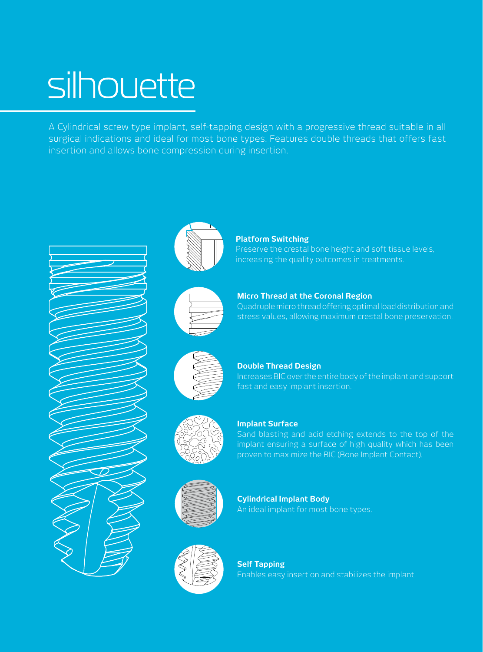# silhouette

A Cylindrical screw type implant, self-tapping design with a progressive thread suitable in all surgical indications and ideal for most bone types. Features double threads that offers fast insertion and allows bone compression during insertion.







## **Micro Thread at the Coronal Region**

Quadruple micro thread offering optimal load distribution and stress values, allowing maximum crestal bone preservation.



**Double Thread Design**

Increases BIC over the entire body of the implant and support fast and easy implant insertion.



#### **Implant Surface**

Sand blasting and acid etching extends to the top of the implant ensuring a surface of high quality which has been proven to maximize the BIC (Bone Implant Contact).



**Cylindrical Implant Body** An ideal implant for most bone types.



**Self Tapping** Enables easy insertion and stabilizes the implant.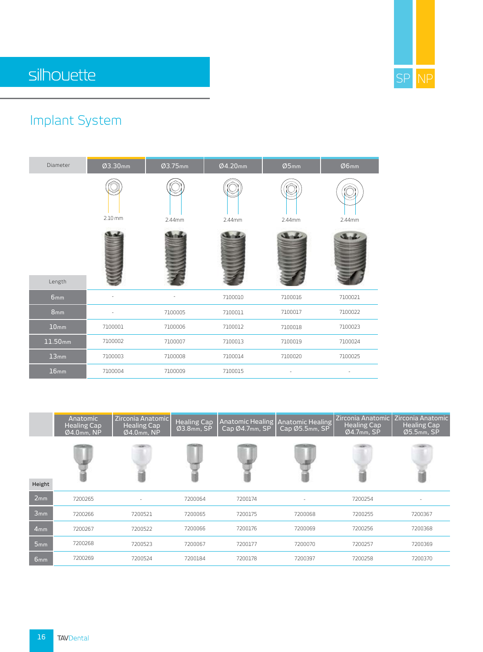

## silhouette

## Implant System

| Diameter         | Ø3.30mm   | Ø3.75mm | Ø4.20mm | Ø5mm    | Ø6mm    |
|------------------|-----------|---------|---------|---------|---------|
|                  | $2.10$ mm | 2.44mm  | 2.44mm  | 2.44mm  | 2.44mm  |
| Length           |           |         |         |         |         |
| 6mm              |           |         | 7100010 | 7100016 | 7100021 |
| 8 <sub>mm</sub>  |           | 7100005 | 7100011 | 7100017 | 7100022 |
| 10 <sub>mm</sub> | 7100001   | 7100006 | 7100012 | 7100018 | 7100023 |
| 11.50mm          | 7100002   | 7100007 | 7100013 | 7100019 | 7100024 |
| 13mm             | 7100003   | 7100008 | 7100014 | 7100020 | 7100025 |
| 16 <sub>mm</sub> | 7100004   | 7100009 | 7100015 |         |         |

|                 | Anatomic<br><b>Healing Cap</b><br>Ø4.0mm, NP | Zirconia Anatomic<br><b>Healing Cap</b><br>$Ø4.0$ mm, NP | <b>Healing Cap</b><br>Ø3.8mm, SP | <b>Anatomic Healing Anatomic Healing</b><br>Cap Ø4.7mm, SP | Cap Ø5.5mm, SP | <b>Zirconia Anatomic</b><br><b>Healing Cap</b><br>$Ø4.7$ mm, SP | Zirconia Anatomic<br><b>Healing Cap</b><br>$Ø5.5mm$ , SP |
|-----------------|----------------------------------------------|----------------------------------------------------------|----------------------------------|------------------------------------------------------------|----------------|-----------------------------------------------------------------|----------------------------------------------------------|
| Height          |                                              |                                                          |                                  |                                                            |                |                                                                 |                                                          |
| 2mm             | 7200265                                      |                                                          | 7200064                          | 7200174                                                    |                | 7200254                                                         |                                                          |
| 3mm             | 7200266                                      | 7200521                                                  | 7200065                          | 7200175                                                    | 7200068        | 7200255                                                         | 7200367                                                  |
| 4 <sub>mm</sub> | 7200267                                      | 7200522                                                  | 7200066                          | 7200176                                                    | 7200069        | 7200256                                                         | 7200368                                                  |
| 5mm             | 7200268                                      | 7200523                                                  | 7200067                          | 7200177                                                    | 7200070        | 7200257                                                         | 7200369                                                  |
| 6mm             | 7200269                                      | 7200524                                                  | 7200184                          | 7200178                                                    | 7200397        | 7200258                                                         | 7200370                                                  |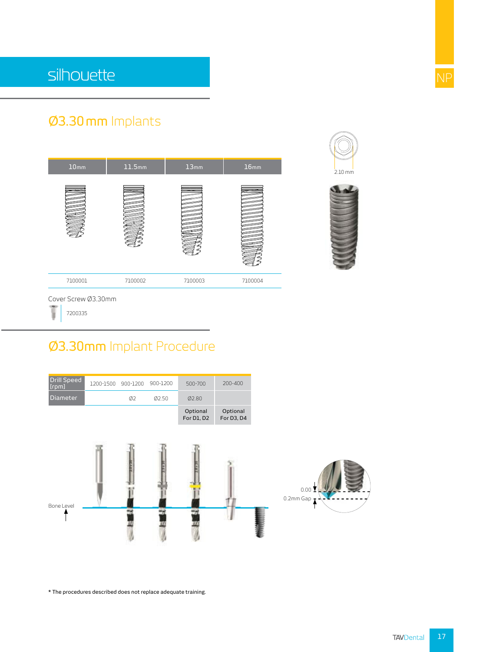## Ø3.30 mm Implants



ï,

7200335

#### Ø3.30mm Implant Procedure



\* The procedures described does not replace adequate training.

2.10 mm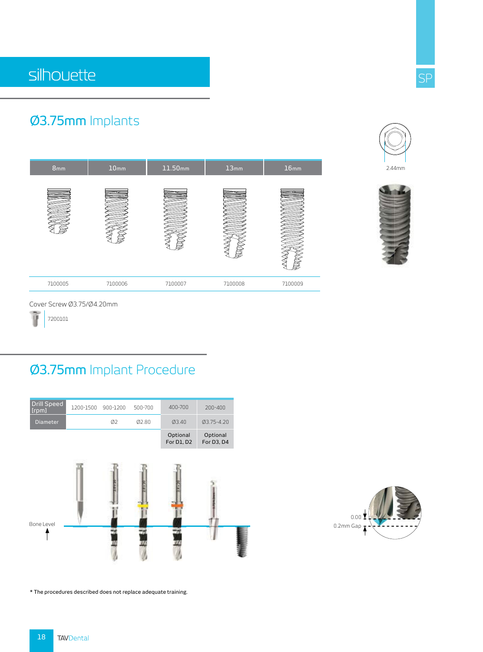### Ø3.75mm Implants





Cover Screw Ø3.75/Ø4.20mm

7200101

#### Ø3.75mm Implant Procedure



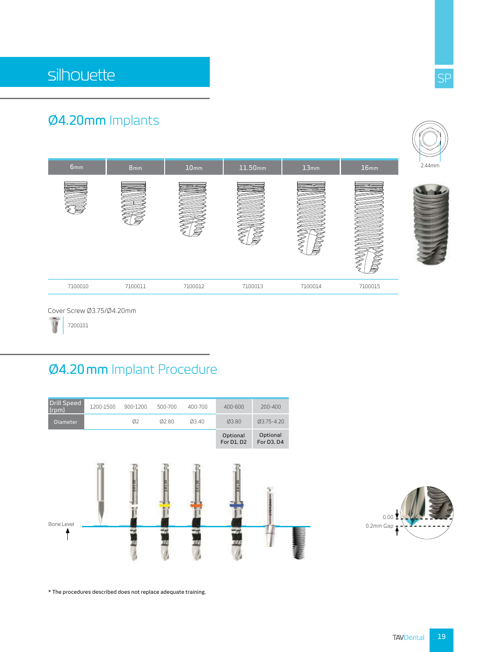## Ø4.20mm Implants



## Ø4.20 mm Implant Procedure





SP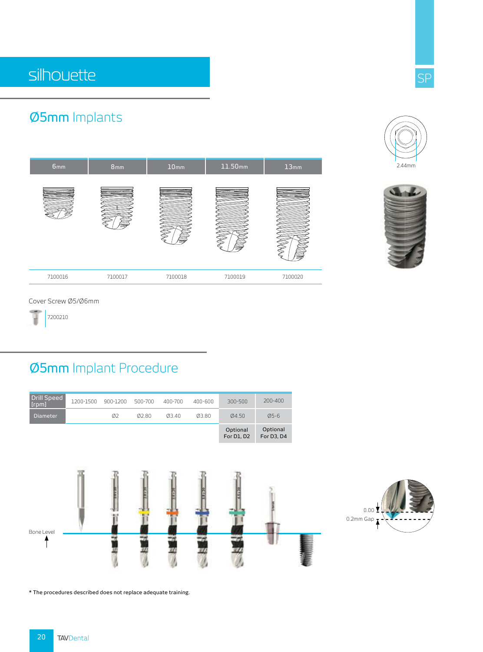## silhouette

### Ø5mm Implants





2.44mm

Cover Screw Ø5/Ø6mm

7200210

#### Ø5mm Implant Procedure



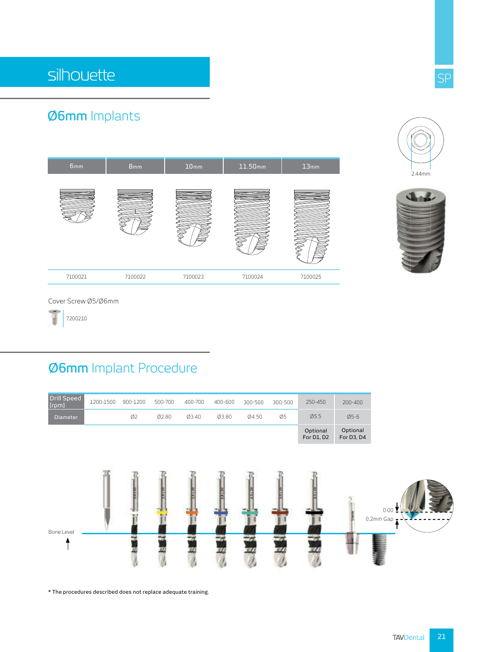## Ø6mm Implants





2.44mm

Cover Screw Ø5/Ø6mm

7200210

#### Ø6mm Implant Procedure